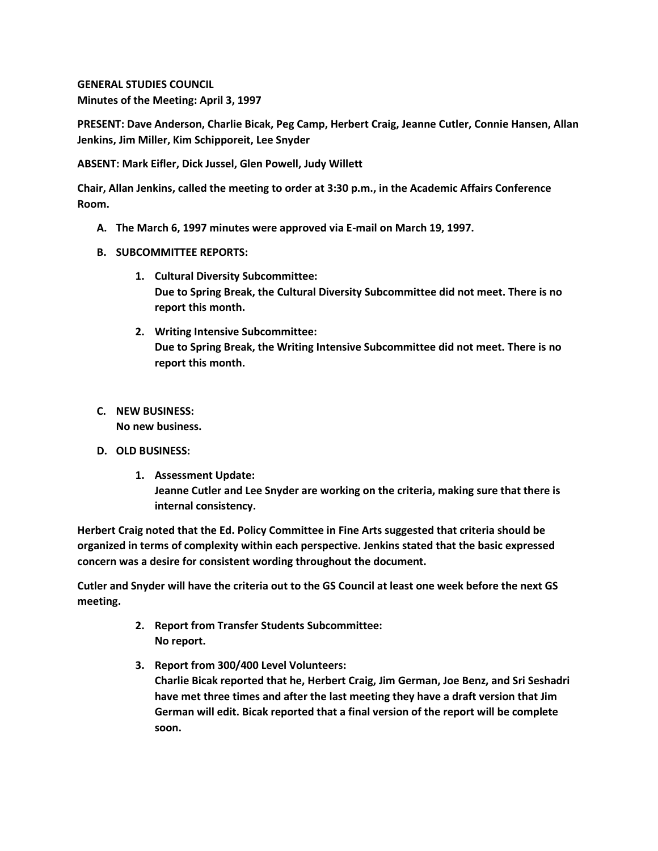**GENERAL STUDIES COUNCIL Minutes of the Meeting: April 3, 1997**

**PRESENT: Dave Anderson, Charlie Bicak, Peg Camp, Herbert Craig, Jeanne Cutler, Connie Hansen, Allan Jenkins, Jim Miller, Kim Schipporeit, Lee Snyder**

**ABSENT: Mark Eifler, Dick Jussel, Glen Powell, Judy Willett**

**Chair, Allan Jenkins, called the meeting to order at 3:30 p.m., in the Academic Affairs Conference Room.**

- **A. The March 6, 1997 minutes were approved via E-mail on March 19, 1997.**
- **B. SUBCOMMITTEE REPORTS:**
	- **1. Cultural Diversity Subcommittee: Due to Spring Break, the Cultural Diversity Subcommittee did not meet. There is no report this month.**
	- **2. Writing Intensive Subcommittee: Due to Spring Break, the Writing Intensive Subcommittee did not meet. There is no report this month.**
- **C. NEW BUSINESS: No new business.**
- **D. OLD BUSINESS:**
	- **1. Assessment Update: Jeanne Cutler and Lee Snyder are working on the criteria, making sure that there is internal consistency.**

**Herbert Craig noted that the Ed. Policy Committee in Fine Arts suggested that criteria should be organized in terms of complexity within each perspective. Jenkins stated that the basic expressed concern was a desire for consistent wording throughout the document.**

**Cutler and Snyder will have the criteria out to the GS Council at least one week before the next GS meeting.**

- **2. Report from Transfer Students Subcommittee: No report.**
- **3. Report from 300/400 Level Volunteers: Charlie Bicak reported that he, Herbert Craig, Jim German, Joe Benz, and Sri Seshadri have met three times and after the last meeting they have a draft version that Jim German will edit. Bicak reported that a final version of the report will be complete soon.**